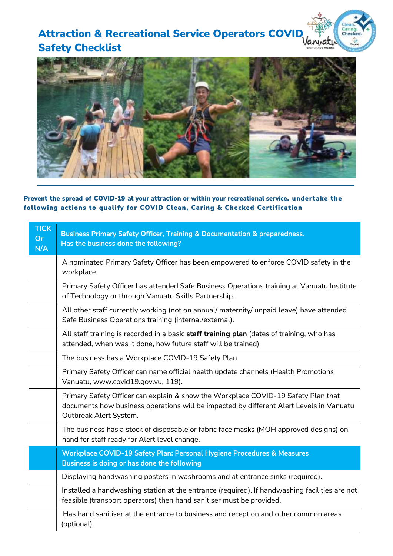## **Attraction & Recreational Service Operators COVID** Safety Checklist



Caring.<br>Checked.  $\mathcal{L}$ 

Prevent the spread of COVID-19 at your attraction or within your recreational service, undertake the following actions to qualify for COVID Clean, Caring & Checked Certification

| <b>TICK</b><br>Or<br>N/A | <b>Business Primary Safety Officer, Training &amp; Documentation &amp; preparedness.</b><br>Has the business done the following?                                                                       |
|--------------------------|--------------------------------------------------------------------------------------------------------------------------------------------------------------------------------------------------------|
|                          | A nominated Primary Safety Officer has been empowered to enforce COVID safety in the<br>workplace.                                                                                                     |
|                          | Primary Safety Officer has attended Safe Business Operations training at Vanuatu Institute<br>of Technology or through Vanuatu Skills Partnership.                                                     |
|                          | All other staff currently working (not on annual/ maternity/ unpaid leave) have attended<br>Safe Business Operations training (internal/external).                                                     |
|                          | All staff training is recorded in a basic staff training plan (dates of training, who has<br>attended, when was it done, how future staff will be trained).                                            |
|                          | The business has a Workplace COVID-19 Safety Plan.                                                                                                                                                     |
|                          | Primary Safety Officer can name official health update channels (Health Promotions<br>Vanuatu, www.covid19.gov.vu, 119).                                                                               |
|                          | Primary Safety Officer can explain & show the Workplace COVID-19 Safety Plan that<br>documents how business operations will be impacted by different Alert Levels in Vanuatu<br>Outbreak Alert System. |
|                          | The business has a stock of disposable or fabric face masks (MOH approved designs) on<br>hand for staff ready for Alert level change.                                                                  |
|                          | Workplace COVID-19 Safety Plan: Personal Hygiene Procedures & Measures<br>Business is doing or has done the following                                                                                  |
|                          | Displaying handwashing posters in washrooms and at entrance sinks (required).                                                                                                                          |
|                          | Installed a handwashing station at the entrance (required). If handwashing facilities are not<br>feasible (transport operators) then hand sanitiser must be provided.                                  |
|                          | Has hand sanitiser at the entrance to business and reception and other common areas<br>(optional).                                                                                                     |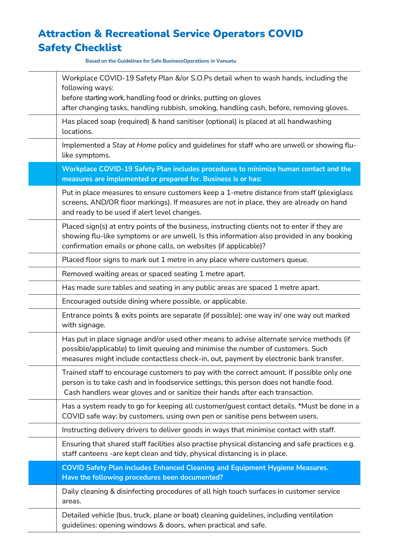## Attraction & Recreational Service Operators COVID Safety Checklist

**Based on the Guidelines for Safe BusinessOperations in Vanuatu**

| Workplace COVID-19 Safety Plan &/or S.O.Ps detail when to wash hands, including the<br>following ways:<br>before starting work, handling food or drinks, putting on gloves<br>after changing tasks, handling rubbish, smoking, handling cash, before, removing gloves. |
|------------------------------------------------------------------------------------------------------------------------------------------------------------------------------------------------------------------------------------------------------------------------|
| Has placed soap (required) & hand sanitiser (optional) is placed at all handwashing<br>locations.                                                                                                                                                                      |
| Implemented a Stay at Home policy and guidelines for staff who are unwell or showing flu-<br>like symptoms.                                                                                                                                                            |
| Workplace COVID-19 Safety Plan includes procedures to minimize human contact and the<br>measures are implemented or prepared for. Business is or has:                                                                                                                  |
| Put in place measures to ensure customers keep a 1-metre distance from staff (plexiglass<br>screens, AND/OR floor markings). If measures are not in place, they are already on hand<br>and ready to be used if alert level changes.                                    |
| Placed sign(s) at entry points of the business, instructing clients not to enter if they are<br>showing flu-like symptoms or are unwell. Is this information also provided in any booking<br>confirmation emails or phone calls, on websites (if applicable)?          |
| Placed floor signs to mark out 1 metre in any place where customers queue.                                                                                                                                                                                             |
| Removed waiting areas or spaced seating 1 metre apart.                                                                                                                                                                                                                 |
| Has made sure tables and seating in any public areas are spaced 1 metre apart.                                                                                                                                                                                         |
| Encouraged outside dining where possible, or applicable.                                                                                                                                                                                                               |
| Entrance points & exits points are separate (if possible); one way in/ one way out marked<br>with signage.                                                                                                                                                             |
| Has put in place signage and/or used other means to advise alternate service methods (if<br>possible/applicable) to limit queuing and minimise the number of customers. Such<br>measures might include contactless check-in, out, payment by electronic bank transfer. |
| Trained staff to encourage customers to pay with the correct amount. If possible only one<br>person is to take cash and in foodservice settings, this person does not handle food.<br>Cash handlers wear gloves and or sanitize their hands after each transaction.    |
| Has a system ready to go for keeping all customer/guest contact details. *Must be done in a<br>COVID safe way: by customers, using own pen or sanitise pens between users.                                                                                             |
| Instructing delivery drivers to deliver goods in ways that minimise contact with staff.                                                                                                                                                                                |
| Ensuring that shared staff facilities also practise physical distancing and safe practices e.g.<br>staff canteens -are kept clean and tidy, physical distancing is in place.                                                                                           |
| <b>COVID Safety Plan includes Enhanced Cleaning and Equipment Hygiene Measures.</b><br>Have the following procedures been documented?                                                                                                                                  |
| Daily cleaning & disinfecting procedures of all high touch surfaces in customer service<br>areas.                                                                                                                                                                      |
| Detailed vehicle (bus, truck, plane or boat) cleaning guidelines, including ventilation<br>guidelines: opening windows & doors, when practical and safe.                                                                                                               |